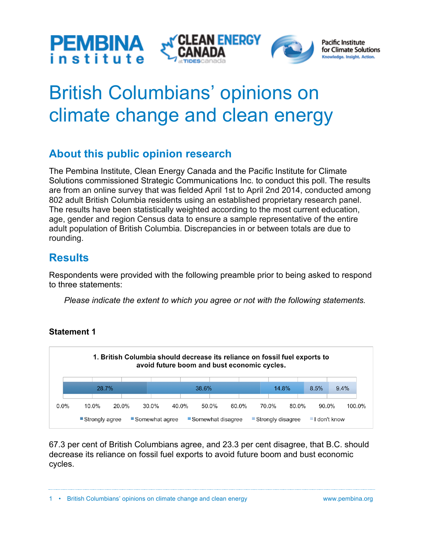





# British Columbians' opinions on climate change and clean energy

# **About this public opinion research**

The Pembina Institute, Clean Energy Canada and the Pacific Institute for Climate Solutions commissioned Strategic Communications Inc. to conduct this poll. The results are from an online survey that was fielded April 1st to April 2nd 2014, conducted among 802 adult British Columbia residents using an established proprietary research panel. The results have been statistically weighted according to the most current education, age, gender and region Census data to ensure a sample representative of the entire adult population of British Columbia. Discrepancies in or between totals are due to rounding.

# **Results**

Respondents were provided with the following preamble prior to being asked to respond to three statements:

*Please indicate the extent to which you agree or not with the following statements.*



## **Statement 1**

67.3 per cent of British Columbians agree, and 23.3 per cent disagree, that B.C. should decrease its reliance on fossil fuel exports to avoid future boom and bust economic cycles.

1 • British Columbians' opinions on climate change and clean energy www.pembina.org